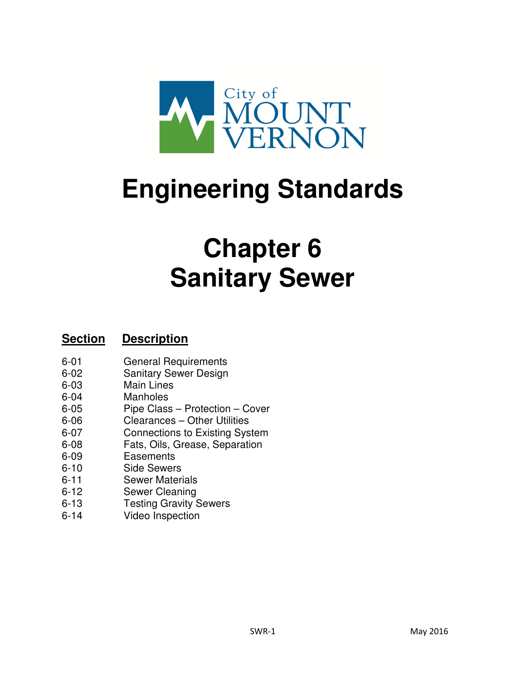

# **Engineering Standards**

# **Chapter 6 Sanitary Sewer**

# **Section Description**

- 6-01 General Requirements
- 6-02 Sanitary Sewer Design
- 6-03 Main Lines
- 6-04 Manholes
- 6-05 Pipe Class Protection Cover
- 6-06 Clearances Other Utilities
- 6-07 Connections to Existing System
- 6-08 Fats, Oils, Grease, Separation
- 6-09 Easements
- 6-10 Side Sewers
- 6-11 Sewer Materials
- 6-12 Sewer Cleaning
- 6-13 Testing Gravity Sewers
- 6-14 Video Inspection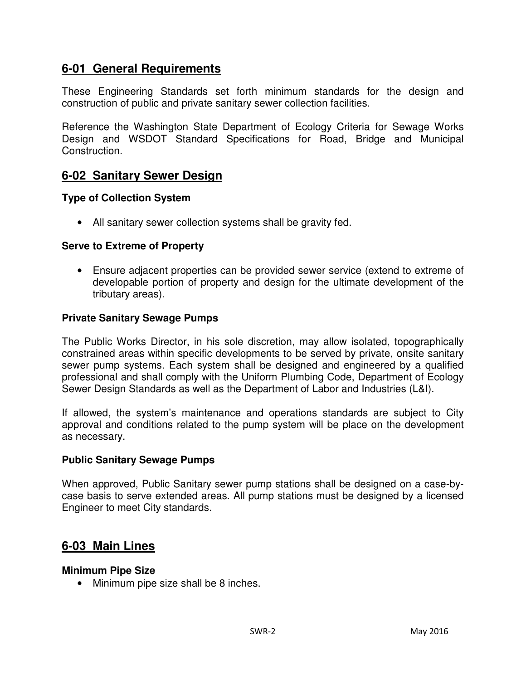# **6-01 General Requirements**

These Engineering Standards set forth minimum standards for the design and construction of public and private sanitary sewer collection facilities.

Reference the Washington State Department of Ecology Criteria for Sewage Works Design and WSDOT Standard Specifications for Road, Bridge and Municipal Construction.

# **6-02 Sanitary Sewer Design**

## **Type of Collection System**

• All sanitary sewer collection systems shall be gravity fed.

## **Serve to Extreme of Property**

• Ensure adjacent properties can be provided sewer service (extend to extreme of developable portion of property and design for the ultimate development of the tributary areas).

## **Private Sanitary Sewage Pumps**

The Public Works Director, in his sole discretion, may allow isolated, topographically constrained areas within specific developments to be served by private, onsite sanitary sewer pump systems. Each system shall be designed and engineered by a qualified professional and shall comply with the Uniform Plumbing Code, Department of Ecology Sewer Design Standards as well as the Department of Labor and Industries (L&I).

If allowed, the system's maintenance and operations standards are subject to City approval and conditions related to the pump system will be place on the development as necessary.

## **Public Sanitary Sewage Pumps**

When approved, Public Sanitary sewer pump stations shall be designed on a case-bycase basis to serve extended areas. All pump stations must be designed by a licensed Engineer to meet City standards.

## **6-03 Main Lines**

## **Minimum Pipe Size**

• Minimum pipe size shall be 8 inches.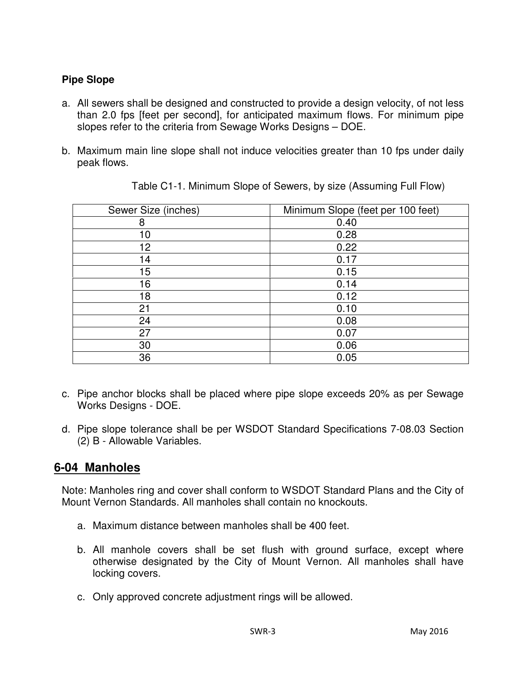## **Pipe Slope**

- a. All sewers shall be designed and constructed to provide a design velocity, of not less than 2.0 fps [feet per second], for anticipated maximum flows. For minimum pipe slopes refer to the criteria from Sewage Works Designs – DOE.
- b. Maximum main line slope shall not induce velocities greater than 10 fps under daily peak flows.

| Sewer Size (inches) | Minimum Slope (feet per 100 feet) |
|---------------------|-----------------------------------|
| 8                   | 0.40                              |
| 10                  | 0.28                              |
| 12                  | 0.22                              |
| 14                  | 0.17                              |
| 15                  | 0.15                              |
| 16                  | 0.14                              |
| 18                  | 0.12                              |
| 21                  | 0.10                              |
| 24                  | 0.08                              |
| 27                  | 0.07                              |
| 30                  | 0.06                              |
| 36                  | 0.05                              |

Table C1-1. Minimum Slope of Sewers, by size (Assuming Full Flow)

- c. Pipe anchor blocks shall be placed where pipe slope exceeds 20% as per Sewage Works Designs - DOE.
- d. Pipe slope tolerance shall be per WSDOT Standard Specifications 7-08.03 Section (2) B - Allowable Variables.

# **6-04 Manholes**

Note: Manholes ring and cover shall conform to WSDOT Standard Plans and the City of Mount Vernon Standards. All manholes shall contain no knockouts.

- a. Maximum distance between manholes shall be 400 feet.
- b. All manhole covers shall be set flush with ground surface, except where otherwise designated by the City of Mount Vernon. All manholes shall have locking covers.
- c. Only approved concrete adjustment rings will be allowed.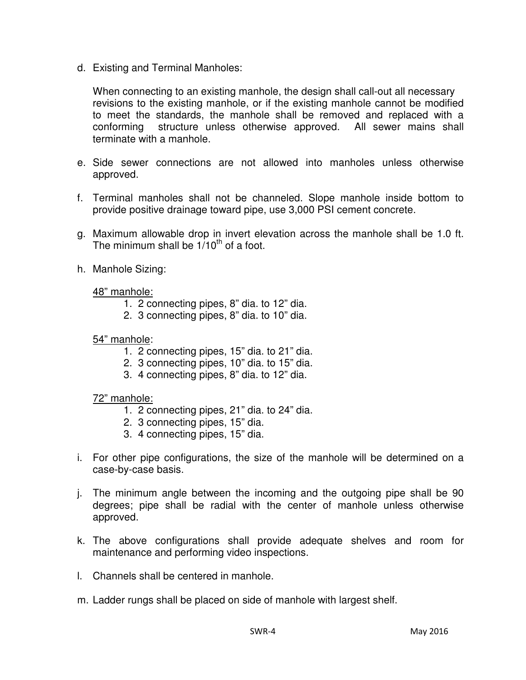d. Existing and Terminal Manholes:

When connecting to an existing manhole, the design shall call-out all necessary revisions to the existing manhole, or if the existing manhole cannot be modified to meet the standards, the manhole shall be removed and replaced with a conforming structure unless otherwise approved. All sewer mains shall terminate with a manhole.

- e. Side sewer connections are not allowed into manholes unless otherwise approved.
- f. Terminal manholes shall not be channeled. Slope manhole inside bottom to provide positive drainage toward pipe, use 3,000 PSI cement concrete.
- g. Maximum allowable drop in invert elevation across the manhole shall be 1.0 ft. The minimum shall be  $1/10^{th}$  of a foot.
- h. Manhole Sizing:

## 48" manhole:

- 1. 2 connecting pipes, 8" dia. to 12" dia.
- 2. 3 connecting pipes, 8" dia. to 10" dia.

## 54" manhole:

- 1. 2 connecting pipes, 15" dia. to 21" dia.
- 2. 3 connecting pipes, 10" dia. to 15" dia.
- 3. 4 connecting pipes, 8" dia. to 12" dia.

## 72" manhole:

- 1. 2 connecting pipes, 21" dia. to 24" dia.
- 2. 3 connecting pipes, 15" dia.
- 3. 4 connecting pipes, 15" dia.
- i. For other pipe configurations, the size of the manhole will be determined on a case-by-case basis.
- j. The minimum angle between the incoming and the outgoing pipe shall be 90 degrees; pipe shall be radial with the center of manhole unless otherwise approved.
- k. The above configurations shall provide adequate shelves and room for maintenance and performing video inspections.
- l. Channels shall be centered in manhole.
- m. Ladder rungs shall be placed on side of manhole with largest shelf.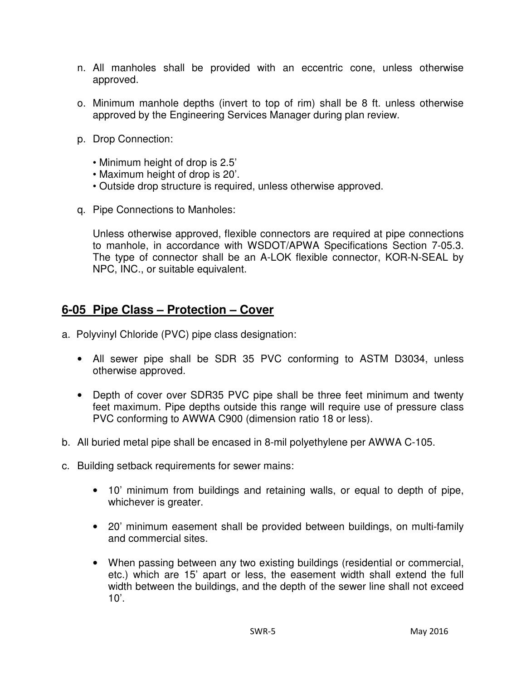- n. All manholes shall be provided with an eccentric cone, unless otherwise approved.
- o. Minimum manhole depths (invert to top of rim) shall be 8 ft. unless otherwise approved by the Engineering Services Manager during plan review.
- p. Drop Connection:
	- Minimum height of drop is 2.5'
	- Maximum height of drop is 20'.
	- Outside drop structure is required, unless otherwise approved.
- q. Pipe Connections to Manholes:

Unless otherwise approved, flexible connectors are required at pipe connections to manhole, in accordance with WSDOT/APWA Specifications Section 7-05.3. The type of connector shall be an A-LOK flexible connector, KOR-N-SEAL by NPC, INC., or suitable equivalent.

# **6-05 Pipe Class – Protection – Cover**

- a. Polyvinyl Chloride (PVC) pipe class designation:
	- All sewer pipe shall be SDR 35 PVC conforming to ASTM D3034, unless otherwise approved.
	- Depth of cover over SDR35 PVC pipe shall be three feet minimum and twenty feet maximum. Pipe depths outside this range will require use of pressure class PVC conforming to AWWA C900 (dimension ratio 18 or less).
- b. All buried metal pipe shall be encased in 8-mil polyethylene per AWWA C-105.
- c. Building setback requirements for sewer mains:
	- 10' minimum from buildings and retaining walls, or equal to depth of pipe, whichever is greater.
	- 20' minimum easement shall be provided between buildings, on multi-family and commercial sites.
	- When passing between any two existing buildings (residential or commercial, etc.) which are 15' apart or less, the easement width shall extend the full width between the buildings, and the depth of the sewer line shall not exceed  $10'$ .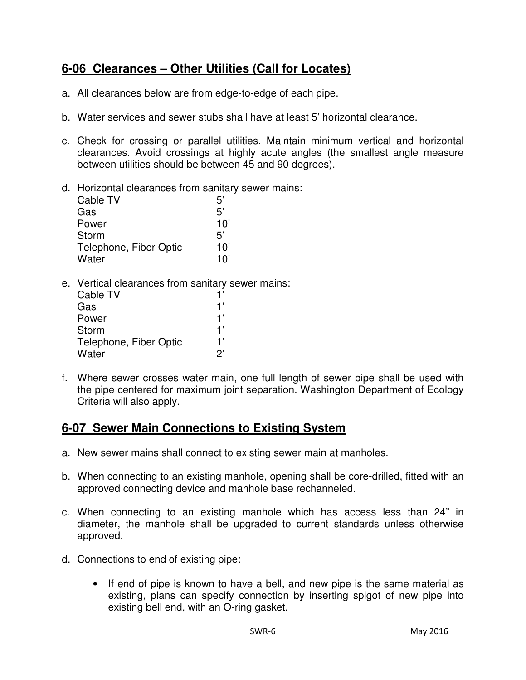# **6-06 Clearances – Other Utilities (Call for Locates)**

- a. All clearances below are from edge-to-edge of each pipe.
- b. Water services and sewer stubs shall have at least 5' horizontal clearance.
- c. Check for crossing or parallel utilities. Maintain minimum vertical and horizontal clearances. Avoid crossings at highly acute angles (the smallest angle measure between utilities should be between 45 and 90 degrees).
- d. Horizontal clearances from sanitary sewer mains:

| Cable TV               | 5'  |
|------------------------|-----|
| Gas                    | 5'  |
| Power                  | 10' |
| Storm                  | 5'  |
| Telephone, Fiber Optic | 10' |
| Water                  | 10' |

e. Vertical clearances from sanitary sewer mains:

| Cable TV               | 1'             |
|------------------------|----------------|
| Gas                    | 1'             |
| Power                  | 1'             |
| Storm                  | 1'             |
| Telephone, Fiber Optic | 1'             |
| Water                  | $\mathcal{P}'$ |

f. Where sewer crosses water main, one full length of sewer pipe shall be used with the pipe centered for maximum joint separation. Washington Department of Ecology Criteria will also apply.

# **6-07 Sewer Main Connections to Existing System**

- a. New sewer mains shall connect to existing sewer main at manholes.
- b. When connecting to an existing manhole, opening shall be core-drilled, fitted with an approved connecting device and manhole base rechanneled.
- c. When connecting to an existing manhole which has access less than 24" in diameter, the manhole shall be upgraded to current standards unless otherwise approved.
- d. Connections to end of existing pipe:
	- If end of pipe is known to have a bell, and new pipe is the same material as existing, plans can specify connection by inserting spigot of new pipe into existing bell end, with an O-ring gasket.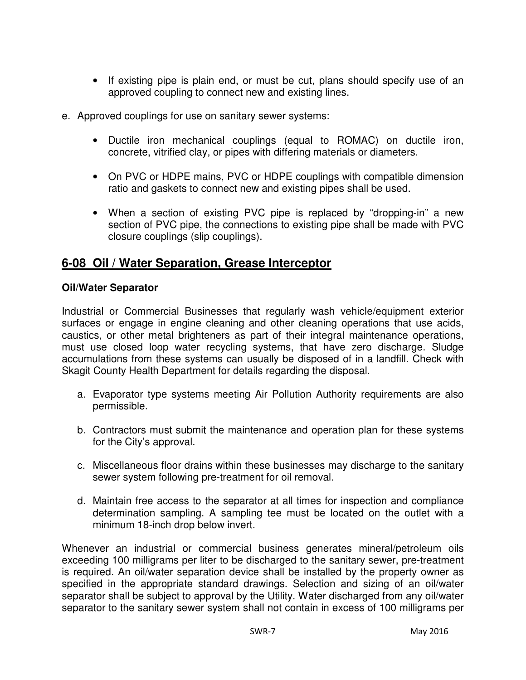- If existing pipe is plain end, or must be cut, plans should specify use of an approved coupling to connect new and existing lines.
- e. Approved couplings for use on sanitary sewer systems:
	- Ductile iron mechanical couplings (equal to ROMAC) on ductile iron, concrete, vitrified clay, or pipes with differing materials or diameters.
	- On PVC or HDPE mains, PVC or HDPE couplings with compatible dimension ratio and gaskets to connect new and existing pipes shall be used.
	- When a section of existing PVC pipe is replaced by "dropping-in" a new section of PVC pipe, the connections to existing pipe shall be made with PVC closure couplings (slip couplings).

# **6-08 Oil / Water Separation, Grease Interceptor**

## **Oil/Water Separator**

Industrial or Commercial Businesses that regularly wash vehicle/equipment exterior surfaces or engage in engine cleaning and other cleaning operations that use acids, caustics, or other metal brighteners as part of their integral maintenance operations, must use closed loop water recycling systems, that have zero discharge. Sludge accumulations from these systems can usually be disposed of in a landfill. Check with Skagit County Health Department for details regarding the disposal.

- a. Evaporator type systems meeting Air Pollution Authority requirements are also permissible.
- b. Contractors must submit the maintenance and operation plan for these systems for the City's approval.
- c. Miscellaneous floor drains within these businesses may discharge to the sanitary sewer system following pre-treatment for oil removal.
- d. Maintain free access to the separator at all times for inspection and compliance determination sampling. A sampling tee must be located on the outlet with a minimum 18-inch drop below invert.

Whenever an industrial or commercial business generates mineral/petroleum oils exceeding 100 milligrams per liter to be discharged to the sanitary sewer, pre-treatment is required. An oil/water separation device shall be installed by the property owner as specified in the appropriate standard drawings. Selection and sizing of an oil/water separator shall be subject to approval by the Utility. Water discharged from any oil/water separator to the sanitary sewer system shall not contain in excess of 100 milligrams per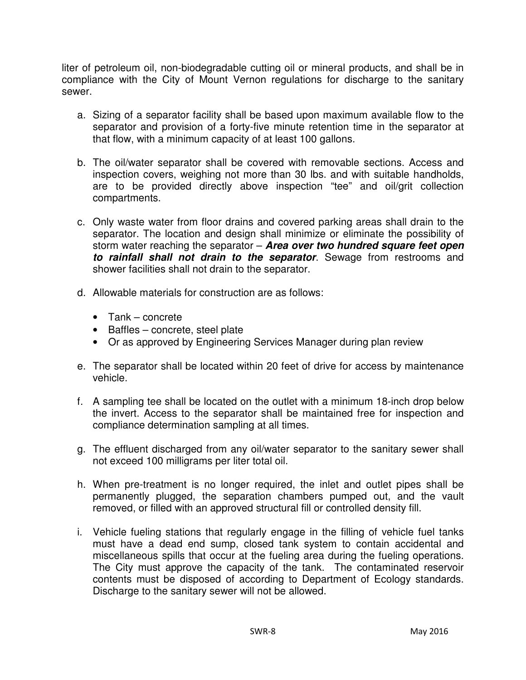liter of petroleum oil, non-biodegradable cutting oil or mineral products, and shall be in compliance with the City of Mount Vernon regulations for discharge to the sanitary sewer.

- a. Sizing of a separator facility shall be based upon maximum available flow to the separator and provision of a forty-five minute retention time in the separator at that flow, with a minimum capacity of at least 100 gallons.
- b. The oil/water separator shall be covered with removable sections. Access and inspection covers, weighing not more than 30 lbs. and with suitable handholds, are to be provided directly above inspection "tee" and oil/grit collection compartments.
- c. Only waste water from floor drains and covered parking areas shall drain to the separator. The location and design shall minimize or eliminate the possibility of storm water reaching the separator – **Area over two hundred square feet open to rainfall shall not drain to the separator**. Sewage from restrooms and shower facilities shall not drain to the separator.
- d. Allowable materials for construction are as follows:
	- Tank concrete
	- Baffles concrete, steel plate
	- Or as approved by Engineering Services Manager during plan review
- e. The separator shall be located within 20 feet of drive for access by maintenance vehicle.
- f. A sampling tee shall be located on the outlet with a minimum 18-inch drop below the invert. Access to the separator shall be maintained free for inspection and compliance determination sampling at all times.
- g. The effluent discharged from any oil/water separator to the sanitary sewer shall not exceed 100 milligrams per liter total oil.
- h. When pre-treatment is no longer required, the inlet and outlet pipes shall be permanently plugged, the separation chambers pumped out, and the vault removed, or filled with an approved structural fill or controlled density fill.
- i. Vehicle fueling stations that regularly engage in the filling of vehicle fuel tanks must have a dead end sump, closed tank system to contain accidental and miscellaneous spills that occur at the fueling area during the fueling operations. The City must approve the capacity of the tank. The contaminated reservoir contents must be disposed of according to Department of Ecology standards. Discharge to the sanitary sewer will not be allowed.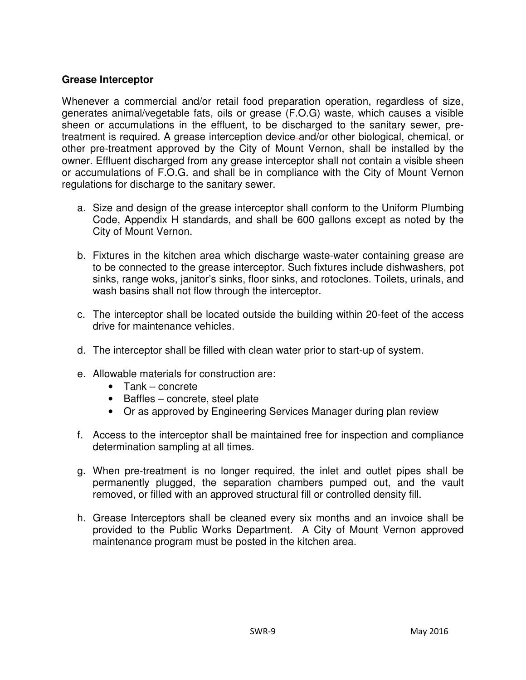## **Grease Interceptor**

Whenever a commercial and/or retail food preparation operation, regardless of size, generates animal/vegetable fats, oils or grease (F.O.G) waste, which causes a visible sheen or accumulations in the effluent, to be discharged to the sanitary sewer, pretreatment is required. A grease interception device and/or other biological, chemical, or other pre-treatment approved by the City of Mount Vernon, shall be installed by the owner. Effluent discharged from any grease interceptor shall not contain a visible sheen or accumulations of F.O.G. and shall be in compliance with the City of Mount Vernon regulations for discharge to the sanitary sewer.

- a. Size and design of the grease interceptor shall conform to the Uniform Plumbing Code, Appendix H standards, and shall be 600 gallons except as noted by the City of Mount Vernon.
- b. Fixtures in the kitchen area which discharge waste-water containing grease are to be connected to the grease interceptor. Such fixtures include dishwashers, pot sinks, range woks, janitor's sinks, floor sinks, and rotoclones. Toilets, urinals, and wash basins shall not flow through the interceptor.
- c. The interceptor shall be located outside the building within 20-feet of the access drive for maintenance vehicles.
- d. The interceptor shall be filled with clean water prior to start-up of system.
- e. Allowable materials for construction are:
	- Tank concrete
	- Baffles concrete, steel plate
	- Or as approved by Engineering Services Manager during plan review
- f. Access to the interceptor shall be maintained free for inspection and compliance determination sampling at all times.
- g. When pre-treatment is no longer required, the inlet and outlet pipes shall be permanently plugged, the separation chambers pumped out, and the vault removed, or filled with an approved structural fill or controlled density fill.
- h. Grease Interceptors shall be cleaned every six months and an invoice shall be provided to the Public Works Department. A City of Mount Vernon approved maintenance program must be posted in the kitchen area.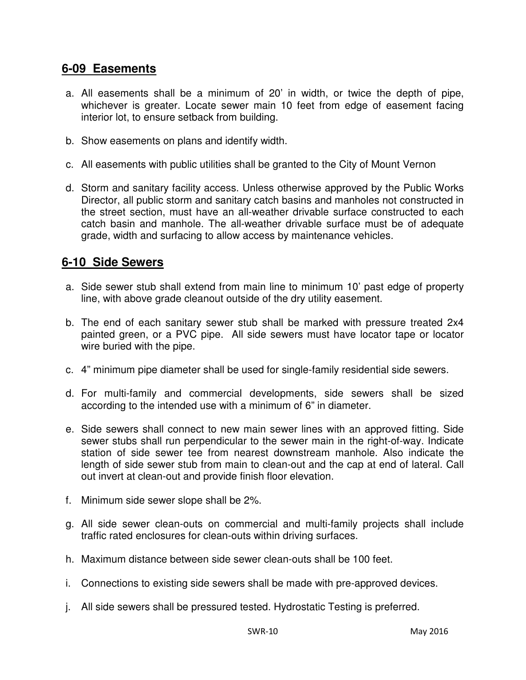# **6-09 Easements**

- a. All easements shall be a minimum of 20' in width, or twice the depth of pipe, whichever is greater. Locate sewer main 10 feet from edge of easement facing interior lot, to ensure setback from building.
- b. Show easements on plans and identify width.
- c. All easements with public utilities shall be granted to the City of Mount Vernon
- d. Storm and sanitary facility access. Unless otherwise approved by the Public Works Director, all public storm and sanitary catch basins and manholes not constructed in the street section, must have an all-weather drivable surface constructed to each catch basin and manhole. The all-weather drivable surface must be of adequate grade, width and surfacing to allow access by maintenance vehicles.

# **6-10 Side Sewers**

- a. Side sewer stub shall extend from main line to minimum 10' past edge of property line, with above grade cleanout outside of the dry utility easement.
- b. The end of each sanitary sewer stub shall be marked with pressure treated 2x4 painted green, or a PVC pipe. All side sewers must have locator tape or locator wire buried with the pipe.
- c. 4" minimum pipe diameter shall be used for single-family residential side sewers.
- d. For multi-family and commercial developments, side sewers shall be sized according to the intended use with a minimum of 6" in diameter.
- e. Side sewers shall connect to new main sewer lines with an approved fitting. Side sewer stubs shall run perpendicular to the sewer main in the right-of-way. Indicate station of side sewer tee from nearest downstream manhole. Also indicate the length of side sewer stub from main to clean-out and the cap at end of lateral. Call out invert at clean-out and provide finish floor elevation.
- f. Minimum side sewer slope shall be 2%.
- g. All side sewer clean-outs on commercial and multi-family projects shall include traffic rated enclosures for clean-outs within driving surfaces.
- h. Maximum distance between side sewer clean-outs shall be 100 feet.
- i. Connections to existing side sewers shall be made with pre-approved devices.
- j. All side sewers shall be pressured tested. Hydrostatic Testing is preferred.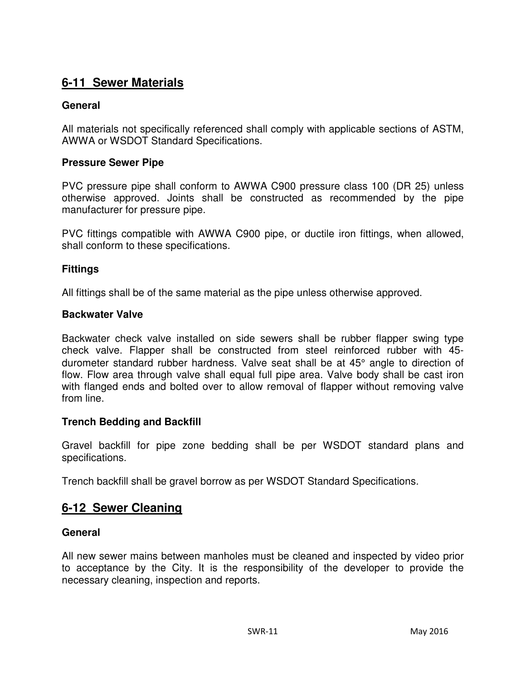# **6-11 Sewer Materials**

## **General**

All materials not specifically referenced shall comply with applicable sections of ASTM, AWWA or WSDOT Standard Specifications.

## **Pressure Sewer Pipe**

PVC pressure pipe shall conform to AWWA C900 pressure class 100 (DR 25) unless otherwise approved. Joints shall be constructed as recommended by the pipe manufacturer for pressure pipe.

PVC fittings compatible with AWWA C900 pipe, or ductile iron fittings, when allowed, shall conform to these specifications.

## **Fittings**

All fittings shall be of the same material as the pipe unless otherwise approved.

## **Backwater Valve**

Backwater check valve installed on side sewers shall be rubber flapper swing type check valve. Flapper shall be constructed from steel reinforced rubber with 45 durometer standard rubber hardness. Valve seat shall be at 45° angle to direction of flow. Flow area through valve shall equal full pipe area. Valve body shall be cast iron with flanged ends and bolted over to allow removal of flapper without removing valve from line.

## **Trench Bedding and Backfill**

Gravel backfill for pipe zone bedding shall be per WSDOT standard plans and specifications.

Trench backfill shall be gravel borrow as per WSDOT Standard Specifications.

## **6-12 Sewer Cleaning**

## **General**

All new sewer mains between manholes must be cleaned and inspected by video prior to acceptance by the City. It is the responsibility of the developer to provide the necessary cleaning, inspection and reports.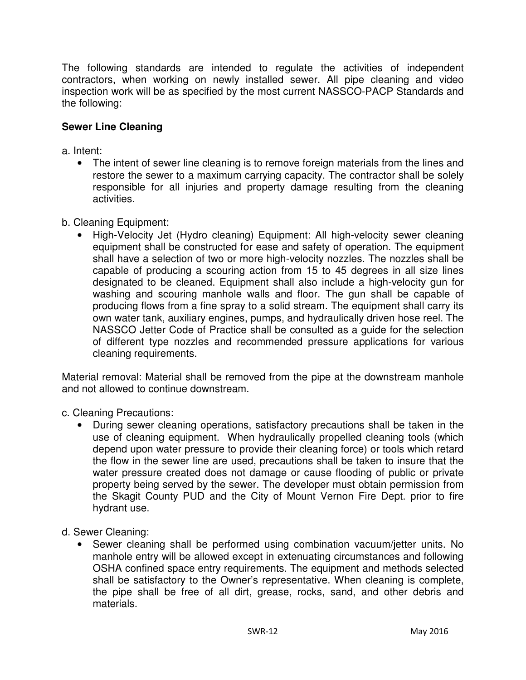The following standards are intended to regulate the activities of independent contractors, when working on newly installed sewer. All pipe cleaning and video inspection work will be as specified by the most current NASSCO-PACP Standards and the following:

## **Sewer Line Cleaning**

a. Intent:

- The intent of sewer line cleaning is to remove foreign materials from the lines and restore the sewer to a maximum carrying capacity. The contractor shall be solely responsible for all injuries and property damage resulting from the cleaning activities.
- b. Cleaning Equipment:
	- High-Velocity Jet (Hydro cleaning) Equipment: All high-velocity sewer cleaning equipment shall be constructed for ease and safety of operation. The equipment shall have a selection of two or more high-velocity nozzles. The nozzles shall be capable of producing a scouring action from 15 to 45 degrees in all size lines designated to be cleaned. Equipment shall also include a high-velocity gun for washing and scouring manhole walls and floor. The gun shall be capable of producing flows from a fine spray to a solid stream. The equipment shall carry its own water tank, auxiliary engines, pumps, and hydraulically driven hose reel. The NASSCO Jetter Code of Practice shall be consulted as a guide for the selection of different type nozzles and recommended pressure applications for various cleaning requirements.

Material removal: Material shall be removed from the pipe at the downstream manhole and not allowed to continue downstream.

c. Cleaning Precautions:

- During sewer cleaning operations, satisfactory precautions shall be taken in the use of cleaning equipment. When hydraulically propelled cleaning tools (which depend upon water pressure to provide their cleaning force) or tools which retard the flow in the sewer line are used, precautions shall be taken to insure that the water pressure created does not damage or cause flooding of public or private property being served by the sewer. The developer must obtain permission from the Skagit County PUD and the City of Mount Vernon Fire Dept. prior to fire hydrant use.
- d. Sewer Cleaning:
	- Sewer cleaning shall be performed using combination vacuum/jetter units. No manhole entry will be allowed except in extenuating circumstances and following OSHA confined space entry requirements. The equipment and methods selected shall be satisfactory to the Owner's representative. When cleaning is complete, the pipe shall be free of all dirt, grease, rocks, sand, and other debris and materials.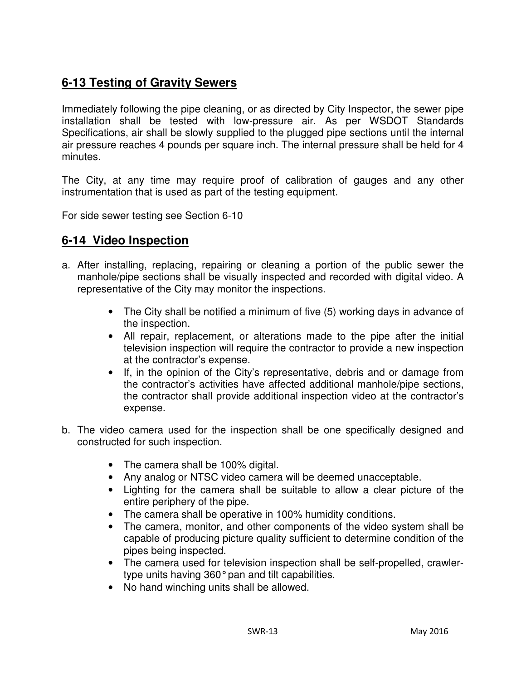# **6-13 Testing of Gravity Sewers**

Immediately following the pipe cleaning, or as directed by City Inspector, the sewer pipe installation shall be tested with low-pressure air. As per WSDOT Standards Specifications, air shall be slowly supplied to the plugged pipe sections until the internal air pressure reaches 4 pounds per square inch. The internal pressure shall be held for 4 minutes.

The City, at any time may require proof of calibration of gauges and any other instrumentation that is used as part of the testing equipment.

For side sewer testing see Section 6-10

# **6-14 Video Inspection**

- a. After installing, replacing, repairing or cleaning a portion of the public sewer the manhole/pipe sections shall be visually inspected and recorded with digital video. A representative of the City may monitor the inspections.
	- The City shall be notified a minimum of five (5) working days in advance of the inspection.
	- All repair, replacement, or alterations made to the pipe after the initial television inspection will require the contractor to provide a new inspection at the contractor's expense.
	- If, in the opinion of the City's representative, debris and or damage from the contractor's activities have affected additional manhole/pipe sections, the contractor shall provide additional inspection video at the contractor's expense.
- b. The video camera used for the inspection shall be one specifically designed and constructed for such inspection.
	- The camera shall be 100% digital.
	- Any analog or NTSC video camera will be deemed unacceptable.
	- Lighting for the camera shall be suitable to allow a clear picture of the entire periphery of the pipe.
	- The camera shall be operative in 100% humidity conditions.
	- The camera, monitor, and other components of the video system shall be capable of producing picture quality sufficient to determine condition of the pipes being inspected.
	- The camera used for television inspection shall be self-propelled, crawlertype units having 360° pan and tilt capabilities.
	- No hand winching units shall be allowed.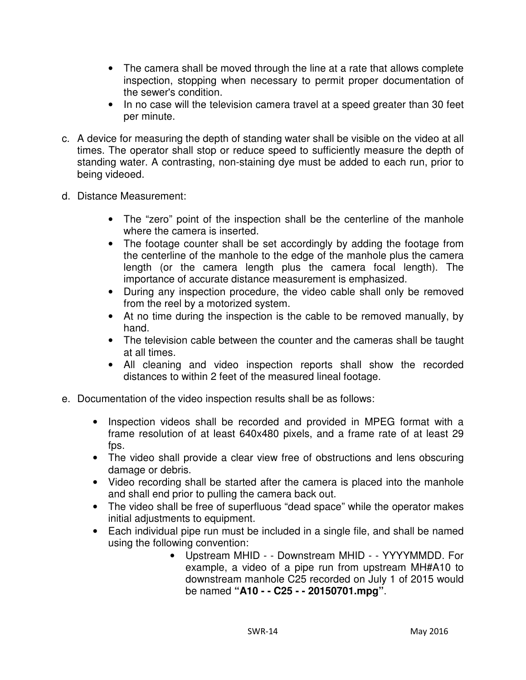- The camera shall be moved through the line at a rate that allows complete inspection, stopping when necessary to permit proper documentation of the sewer's condition.
- In no case will the television camera travel at a speed greater than 30 feet per minute.
- c. A device for measuring the depth of standing water shall be visible on the video at all times. The operator shall stop or reduce speed to sufficiently measure the depth of standing water. A contrasting, non-staining dye must be added to each run, prior to being videoed.
- d. Distance Measurement:
	- The "zero" point of the inspection shall be the centerline of the manhole where the camera is inserted.
	- The footage counter shall be set accordingly by adding the footage from the centerline of the manhole to the edge of the manhole plus the camera length (or the camera length plus the camera focal length). The importance of accurate distance measurement is emphasized.
	- During any inspection procedure, the video cable shall only be removed from the reel by a motorized system.
	- At no time during the inspection is the cable to be removed manually, by hand.
	- The television cable between the counter and the cameras shall be taught at all times.
	- All cleaning and video inspection reports shall show the recorded distances to within 2 feet of the measured lineal footage.
- e. Documentation of the video inspection results shall be as follows:
	- Inspection videos shall be recorded and provided in MPEG format with a frame resolution of at least 640x480 pixels, and a frame rate of at least 29 fps.
	- The video shall provide a clear view free of obstructions and lens obscuring damage or debris.
	- Video recording shall be started after the camera is placed into the manhole and shall end prior to pulling the camera back out.
	- The video shall be free of superfluous "dead space" while the operator makes initial adjustments to equipment.
	- Each individual pipe run must be included in a single file, and shall be named using the following convention:
		- Upstream MHID - Downstream MHID - YYYYMMDD. For example, a video of a pipe run from upstream MH#A10 to downstream manhole C25 recorded on July 1 of 2015 would be named **"A10 - - C25 - - 20150701.mpg"**.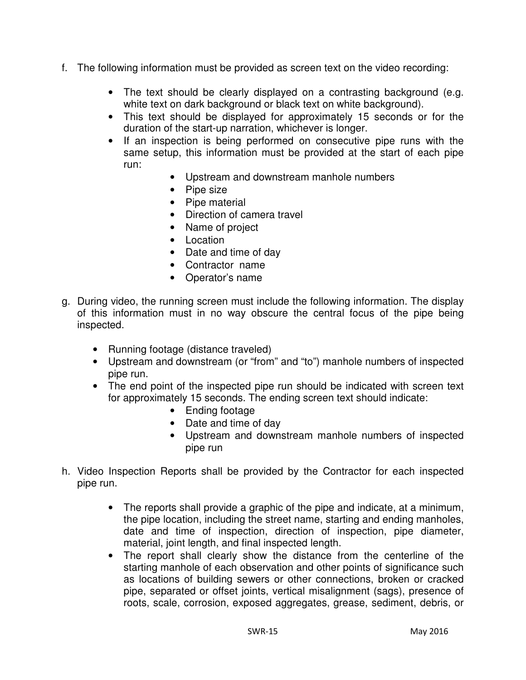- f. The following information must be provided as screen text on the video recording:
	- The text should be clearly displayed on a contrasting background (e.g. white text on dark background or black text on white background).
	- This text should be displayed for approximately 15 seconds or for the duration of the start-up narration, whichever is longer.
	- If an inspection is being performed on consecutive pipe runs with the same setup, this information must be provided at the start of each pipe run:
		- Upstream and downstream manhole numbers
		- Pipe size
		- Pipe material
		- Direction of camera travel
		- Name of project
		- Location
		- Date and time of day
		- Contractor name
		- Operator's name
- g. During video, the running screen must include the following information. The display of this information must in no way obscure the central focus of the pipe being inspected.
	- Running footage (distance traveled)
	- Upstream and downstream (or "from" and "to") manhole numbers of inspected pipe run.
	- The end point of the inspected pipe run should be indicated with screen text for approximately 15 seconds. The ending screen text should indicate:
		- Ending footage
		- Date and time of day
		- Upstream and downstream manhole numbers of inspected pipe run
- h. Video Inspection Reports shall be provided by the Contractor for each inspected pipe run.
	- The reports shall provide a graphic of the pipe and indicate, at a minimum, the pipe location, including the street name, starting and ending manholes, date and time of inspection, direction of inspection, pipe diameter, material, joint length, and final inspected length.
	- The report shall clearly show the distance from the centerline of the starting manhole of each observation and other points of significance such as locations of building sewers or other connections, broken or cracked pipe, separated or offset joints, vertical misalignment (sags), presence of roots, scale, corrosion, exposed aggregates, grease, sediment, debris, or